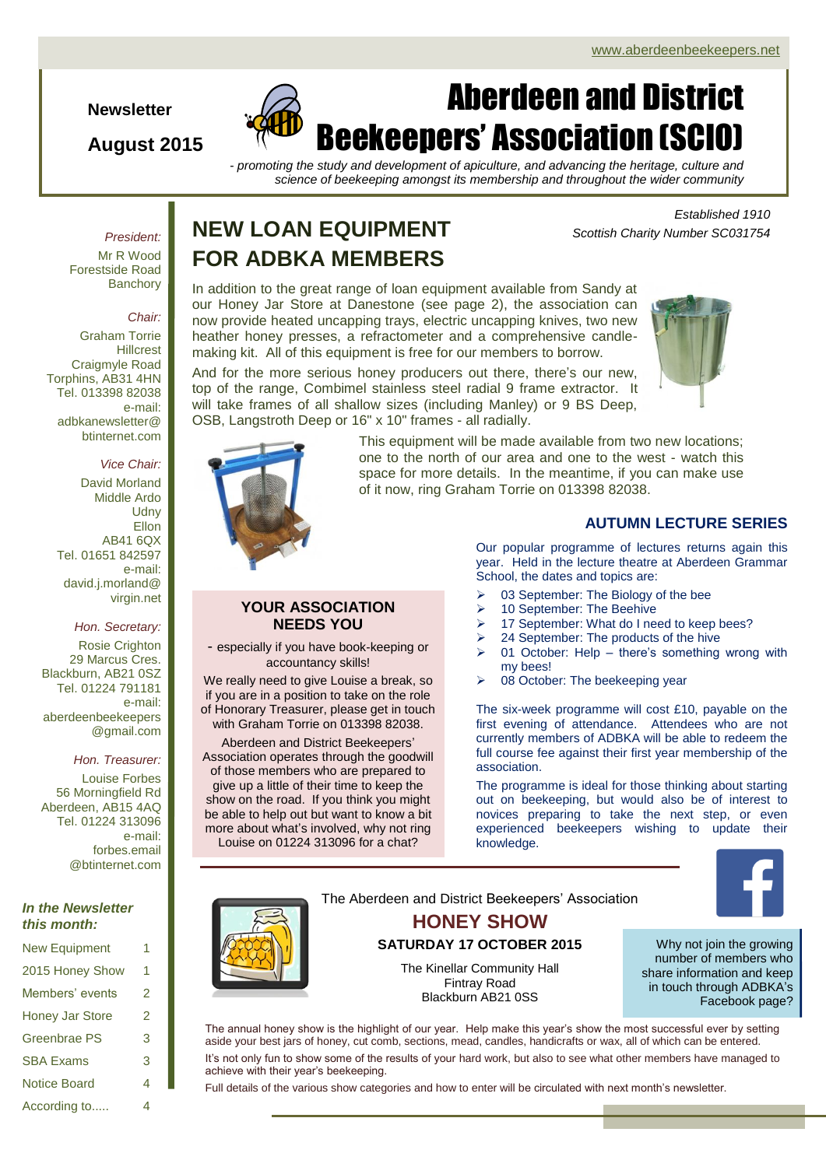**Newsletter**

### **August 2015**



# Aberdeen and District Beekeepers' Association (SCIO)

*- promoting the study and development of apiculture, and advancing the heritage, culture and science of beekeeping amongst its membership and throughout the wider community*

#### *President:*

Mr R Wood Forestside Road **Banchorv** 

#### *Chair:*

Graham Torrie Hillcrest Craigmyle Road Torphins, AB31 4HN Tel. 013398 82038 e-mail: adbkanewsletter@ btinternet.com

#### *Vice Chair:*

David Morland Middle Ardo **Udny Ellon** AB41 6QX Tel. 01651 842597 e-mail: david.j.morland@ virgin.net

#### *Hon. Secretary:*

Rosie Crighton 29 Marcus Cres. Blackburn, AB21 0SZ Tel. 01224 791181 e-mail: aberdeenbeekeepers @gmail.com

#### *Hon. Treasurer:*

Louise Forbes 56 Morningfield Rd Aberdeen, AB15 4AQ Tel. 01224 313096 e-mail: forbes.email @btinternet.com

#### *In the Newsletter this month:*

| <b>New Equipment</b>   |   |
|------------------------|---|
| 2015 Honey Show        | 1 |
| Members' events        | 2 |
| <b>Honey Jar Store</b> | 2 |
| <b>Greenbrae PS</b>    | 3 |
| <b>SBA Exams</b>       | 3 |
| <b>Notice Board</b>    | 4 |
| According to           | 4 |

### **NEW LOAN EQUIPMENT FOR ADBKA MEMBERS**

In addition to the great range of loan equipment available from Sandy at our Honey Jar Store at Danestone (see page 2), the association can now provide heated uncapping trays, electric uncapping knives, two new heather honey presses, a refractometer and a comprehensive candlemaking kit. All of this equipment is free for our members to borrow.

And for the more serious honey producers out there, there's our new, top of the range, Combimel stainless steel radial 9 frame extractor. It will take frames of all shallow sizes (including Manley) or 9 BS Deep. OSB, Langstroth Deep or 16" x 10" frames - all radially.



*Scottish Charity Number SC031754*

*Established 1910*



This equipment will be made available from two new locations; one to the north of our area and one to the west - watch this space for more details. In the meantime, if you can make use of it now, ring Graham Torrie on 013398 82038.

#### **YOUR ASSOCIATION NEEDS YOU**

- especially if you have book-keeping or accountancy skills!

We really need to give Louise a break, so if you are in a position to take on the role of Honorary Treasurer, please get in touch with Graham Torrie on 013398 82038.

Aberdeen and District Beekeepers' Association operates through the goodwill of those members who are prepared to give up a little of their time to keep the show on the road. If you think you might be able to help out but want to know a bit more about what's involved, why not ring Louise on 01224 313096 for a chat?

#### **AUTUMN LECTURE SERIES**

Our popular programme of lectures returns again this year. Held in the lecture theatre at Aberdeen Grammar School, the dates and topics are:

- $\geq$  03 September: The Biology of the bee
- > 10 September: The Beehive
- > 17 September: What do I need to keep bees?
- $\geq$  24 September: The products of the hive
- $\geq$  01 October: Help there's something wrong with my bees!
- $\geq$  08 October: The beekeeping year

The six-week programme will cost £10, payable on the first evening of attendance. Attendees who are not currently members of ADBKA will be able to redeem the full course fee against their first year membership of the association.

The programme is ideal for those thinking about starting out on beekeeping, but would also be of interest to novices preparing to take the next step, or even experienced beekeepers wishing to update their knowledge.



The Aberdeen and District Beekeepers' Association **HONEY SHOW SATURDAY 17 OCTOBER 2015** The Kinellar Community Hall Fintray Road Blackburn AB21 0SS

Why not join the growing number of members who share information and keep in touch through ADBKA's Facebook page?

The annual honey show is the highlight of our year. Help make this year's show the most successful ever by setting aside your best jars of honey, cut comb, sections, mead, candles, handicrafts or wax, all of which can be entered. It's not only fun to show some of the results of your hard work, but also to see what other members have managed to

achieve with their year's beekeeping.

Full details of the various show categories and how to enter will be circulated with next month's newsletter.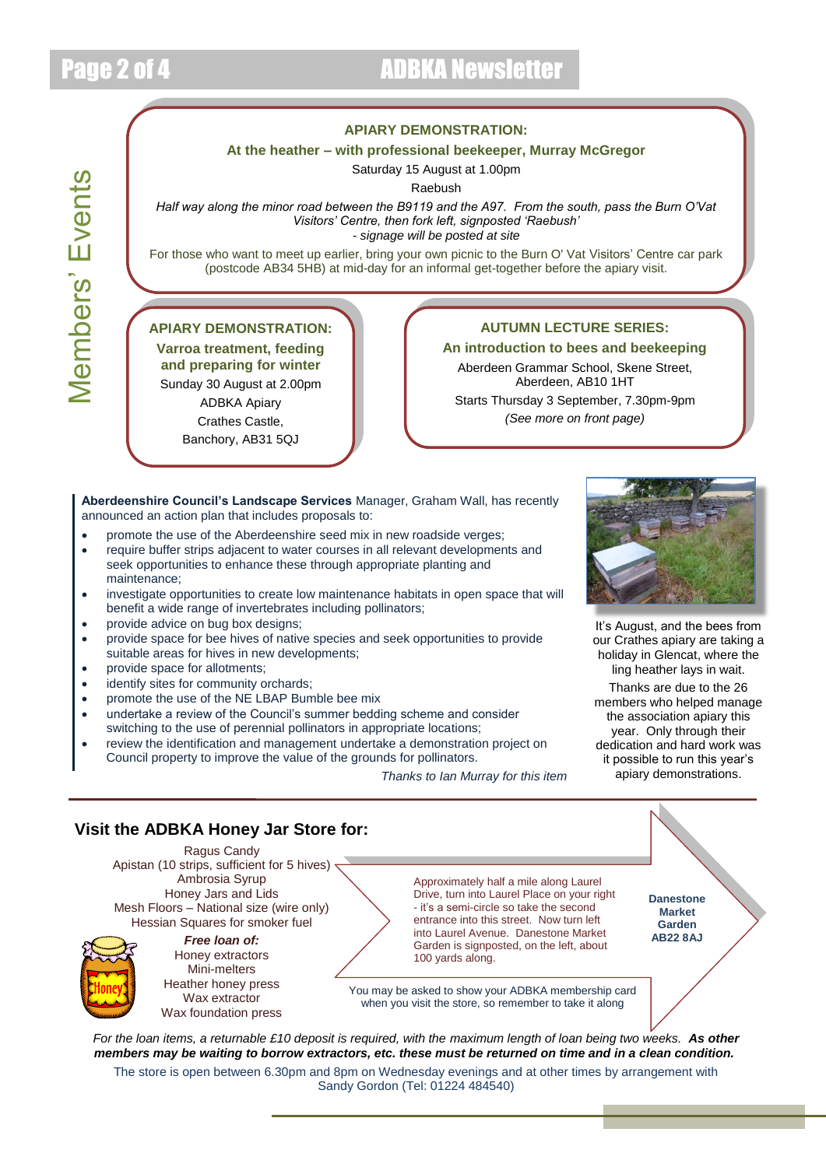

### Page 2 of 4 ADBKA Newsletter

#### **APIARY DEMONSTRATION:**

#### **At the heather – with professional beekeeper, Murray McGregor**

Saturday 15 August at 1.00pm Raebush

*Half way along the minor road between the B9119 and the A97. From the south, pass the Burn O'Vat Visitors' Centre, then fork left, signposted 'Raebush' - signage will be posted at site*

For those who want to meet up earlier, bring your own picnic to the Burn O' Vat Visitors' Centre car park (postcode AB34 5HB) at mid-day for an informal get-together before the apiary visit.

#### **APIARY DEMONSTRATION:**

**Varroa treatment, feeding and preparing for winter** Sunday 30 August at 2.00pm ADBKA Apiary Crathes Castle, Banchory, AB31 5QJ

#### **AUTUMN LECTURE SERIES:**

**An introduction to bees and beekeeping** Aberdeen Grammar School, Skene Street, Aberdeen, AB10 1HT Starts Thursday 3 September, 7.30pm-9pm *(See more on front page)*

**Aberdeenshire Council's Landscape Services** Manager, Graham Wall, has recently announced an action plan that includes proposals to:

- promote the use of the Aberdeenshire seed mix in new roadside verges;
- require buffer strips adjacent to water courses in all relevant developments and seek opportunities to enhance these through appropriate planting and maintenance;
- investigate opportunities to create low maintenance habitats in open space that will benefit a wide range of invertebrates including pollinators;
- provide advice on bug box designs;
- provide space for bee hives of native species and seek opportunities to provide suitable areas for hives in new developments;
- provide space for allotments;
- identify sites for community orchards;
- promote the use of the NE LBAP Bumble bee mix
- undertake a review of the Council's summer bedding scheme and consider switching to the use of perennial pollinators in appropriate locations;
- review the identification and management undertake a demonstration project on Council property to improve the value of the grounds for pollinators.

*Thanks to Ian Murray for this item*



It's August, and the bees from our Crathes apiary are taking a holiday in Glencat, where the ling heather lays in wait.

Thanks are due to the 26 members who helped manage the association apiary this year. Only through their dedication and hard work was it possible to run this year's apiary demonstrations.

#### *For the loan items, a returnable £10 deposit is required, with the maximum length of loan being two weeks. As other members may be waiting to borrow extractors, etc. these must be returned on time and in a clean condition.* **Visit the ADBKA Honey Jar Store for:** Ragus Candy Apistan (10 strips, sufficient for 5 hives)  $\overline{ }$ Ambrosia Syrup Honey Jars and Lids Mesh Floors – National size (wire only) Hessian Squares for smoker fuel *Free loan of:* Honey extractors Mini-melters Heather honey press Wax extractor Wax foundation press Approximately half a mile along Laurel Drive, turn into Laurel Place on your right - it's a semi-circle so take the second entrance into this street. Now turn left into Laurel Avenue. Danestone Market Garden is signposted, on the left, about 100 yards along. **Danestone Market Garden AB22 8AJ** You may be asked to show your ADBKA membership card when you visit the store, so remember to take it along

The store is open between 6.30pm and 8pm on Wednesday evenings and at other times by arrangement with Sandy Gordon (Tel: 01224 484540)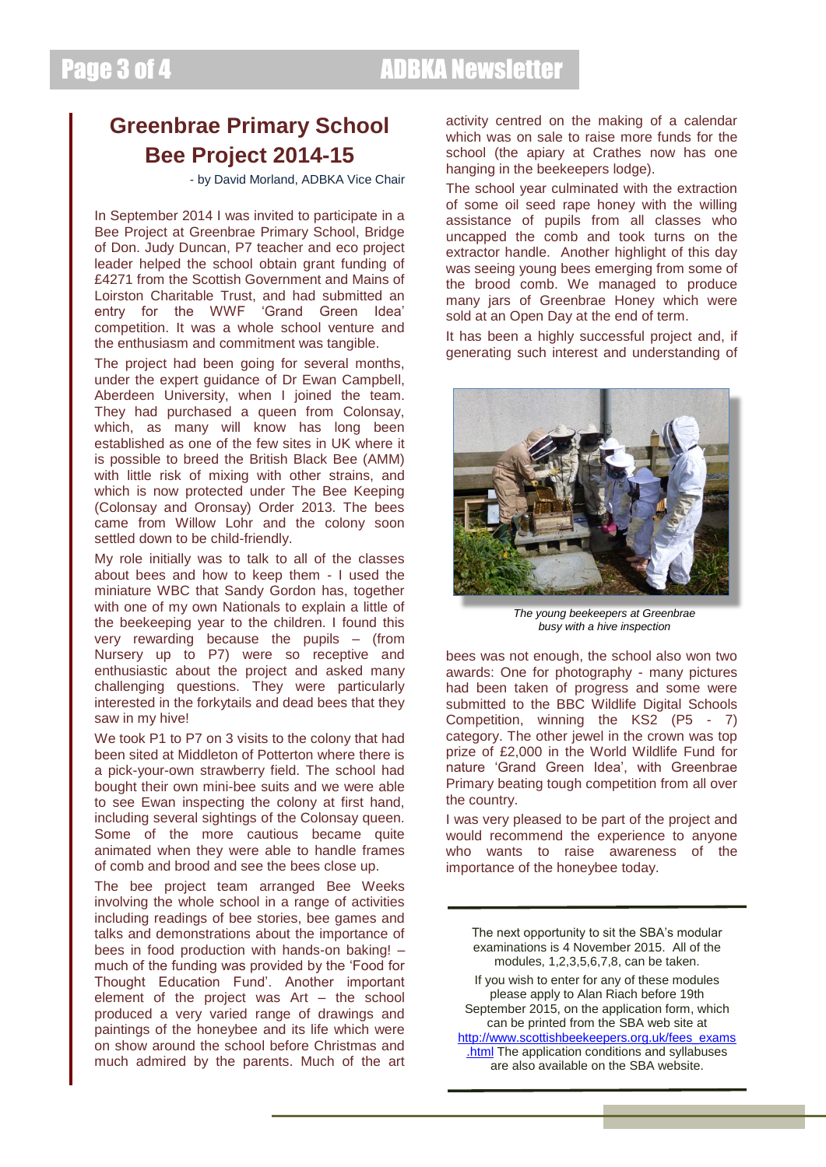### **Greenbrae Primary School Bee Project 2014-15**

- by David Morland, ADBKA Vice Chair

In September 2014 I was invited to participate in a Bee Project at Greenbrae Primary School, Bridge of Don. Judy Duncan, P7 teacher and eco project leader helped the school obtain grant funding of £4271 from the Scottish Government and Mains of Loirston Charitable Trust, and had submitted an entry for the WWF 'Grand Green Idea' competition. It was a whole school venture and the enthusiasm and commitment was tangible.

The project had been going for several months, under the expert guidance of Dr Ewan Campbell, Aberdeen University, when I joined the team. They had purchased a queen from Colonsay, which, as many will know has long been established as one of the few sites in UK where it is possible to breed the British Black Bee (AMM) with little risk of mixing with other strains, and which is now protected under The Bee Keeping (Colonsay and Oronsay) Order 2013. The bees came from Willow Lohr and the colony soon settled down to be child-friendly.

My role initially was to talk to all of the classes about bees and how to keep them - I used the miniature WBC that Sandy Gordon has, together with one of my own Nationals to explain a little of the beekeeping year to the children. I found this very rewarding because the pupils – (from Nursery up to P7) were so receptive and enthusiastic about the project and asked many challenging questions. They were particularly interested in the forkytails and dead bees that they saw in my hive!

We took P1 to P7 on 3 visits to the colony that had been sited at Middleton of Potterton where there is a pick-your-own strawberry field. The school had bought their own mini-bee suits and we were able to see Ewan inspecting the colony at first hand, including several sightings of the Colonsay queen. Some of the more cautious became quite animated when they were able to handle frames of comb and brood and see the bees close up.

The bee project team arranged Bee Weeks involving the whole school in a range of activities including readings of bee stories, bee games and talks and demonstrations about the importance of bees in food production with hands-on baking! – much of the funding was provided by the 'Food for Thought Education Fund'. Another important element of the project was Art – the school produced a very varied range of drawings and paintings of the honeybee and its life which were on show around the school before Christmas and much admired by the parents. Much of the art activity centred on the making of a calendar which was on sale to raise more funds for the school (the apiary at Crathes now has one hanging in the beekeepers lodge).

The school year culminated with the extraction of some oil seed rape honey with the willing assistance of pupils from all classes who uncapped the comb and took turns on the extractor handle. Another highlight of this day was seeing young bees emerging from some of the brood comb. We managed to produce many jars of Greenbrae Honey which were sold at an Open Day at the end of term.

It has been a highly successful project and, if generating such interest and understanding of



*The young beekeepers at Greenbrae busy with a hive inspection*

bees was not enough, the school also won two awards: One for photography - many pictures had been taken of progress and some were submitted to the BBC Wildlife Digital Schools Competition, winning the KS2 (P5 - 7) category. The other jewel in the crown was top prize of £2,000 in the World Wildlife Fund for nature 'Grand Green Idea', with Greenbrae Primary beating tough competition from all over the country.

I was very pleased to be part of the project and would recommend the experience to anyone who wants to raise awareness of the importance of the honeybee today.

The next opportunity to sit the SBA's modular examinations is 4 November 2015. All of the modules, 1,2,3,5,6,7,8, can be taken. If you wish to enter for any of these modules please apply to Alan Riach before 19th September 2015, on the application form, which can be printed from the SBA web site at [http://www.scottishbeekeepers.org.uk/fees\\_exams](http://www.scottishbeekeepers.org.uk/fees_exams.html) [.html](http://www.scottishbeekeepers.org.uk/fees_exams.html) The application conditions and syllabuses are also available on the SBA website.